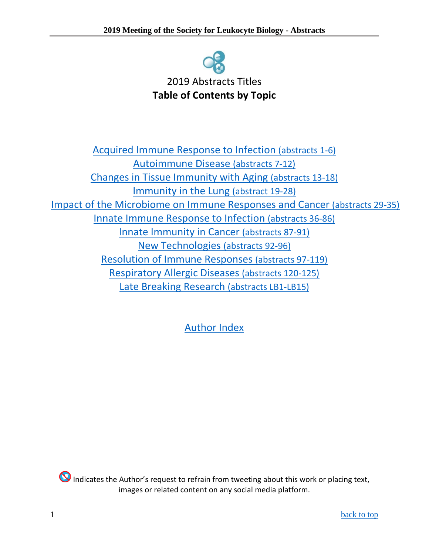

<span id="page-0-0"></span>[Acquired Immune Response to Infection](#page-0-1) (abstracts 1-6) [Autoimmune Disease](#page-1-0) (abstracts 7-12) [Changes in Tissue Immunity with Aging](#page-1-1) (abstracts 13-18) [Immunity in the Lung \(abstract 19-28\)](#page-2-0) [Impact of the Microbiome on Immune Responses and Cancer \(abstracts 29-35\)](#page-3-0) [Innate Immune Response to Infection](#page-3-1) (abstracts 36-86) [Innate Immunity in Cancer](#page-7-0) (abstracts 87-91) [New Technologies](#page-8-0) (abstracts 92-96) [Resolution of Immune Responses](#page-8-1) (abstracts 97-119) [Respiratory Allergic Diseases](#page-10-0) (abstracts 120-125) [Late Breaking Research](#page-10-1) (abstracts LB1-LB15)

<span id="page-0-1"></span>[Author Index](#page-12-0)

Indicates the Author's request to refrain from tweeting about this work or placing text, images or related content on any social media platform.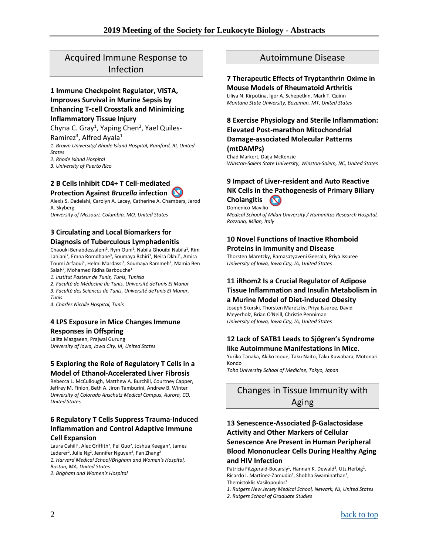### Acquired Immune Response to Infection

### **1 Immune Checkpoint Regulator, VISTA, Improves Survival in Murine Sepsis by Enhancing T-cell Crosstalk and Minimizing**

#### **Inflammatory Tissue Injury**

Chyna C. Gray<sup>1</sup>, Yaping Chen<sup>2</sup>, Yael Quiles-

Ramirez<sup>3</sup>, Alfred Ayala<sup>1</sup> *1. Brown University/ Rhode Island Hospital, Rumford, RI, United States 2. Rhode Island Hospital*

*3. University of Puerto Rico*

#### **2 B Cells Inhibit CD4+ T Cell-mediated Protection Against** *Brucella* **infection**

Alexis S. Dadelahi, Carolyn A. Lacey, Catherine A. Chambers, Jerod A. Skyberg *University of Missouri, Columbia, MO, United States*

### **3 Circulating and Local Biomarkers for Diagnosis of Tuberculous Lymphadenitis**

Chaouki Benabdessalem<sup>1</sup>, Rym Ouni<sup>1</sup>, Nabila Ghouibi Nabila<sup>1</sup>, Rim Lahiani<sup>2</sup>, Emna Romdhane<sup>3</sup>, Soumaya Bchiri<sup>1</sup>, Neira Dkhil<sup>1</sup>, Amira Toumi Arfaoui<sup>4</sup>, Helmi Mardassi<sup>1</sup>, Soumaya Rammeh<sup>2</sup>, Mamia Ben Salah<sup>2</sup>, Mohamed Ridha Barbouche<sup>1</sup>

*1. Institut Pasteur de Tunis, Tunis, Tunisia*

*2. Faculté de Médecine de Tunis, Université deTunis El Manar 3. Faculté des Sciences de Tunis, Université deTunis El Manar, Tunis*

*4. Charles Nicolle Hospital, Tunis*

### **4 LPS Exposure in Mice Changes Immune Responses in Offspring**

Lalita Mazgaeen, Prajwal Gurung *University of Iowa, Iowa City, IA, United States*

### **5 Exploring the Role of Regulatory T Cells in a Model of Ethanol-Accelerated Liver Fibrosis**

Rebecca L. McCullough, Matthew A. Burchill, Courtney Capper, Jeffrey M. Finlon, Beth A. Jiron Tamburini, Andrew B. Winter *University of Colorado Anschutz Medical Campus, Aurora, CO, United States*

### **6 Regulatory T Cells Suppress Trauma-Induced Inflammation and Control Adaptive Immune Cell Expansion**

Laura Cahill<sup>1</sup>, Alec Griffith<sup>2</sup>, Fei Guo<sup>2</sup>, Joshua Keegan<sup>2</sup>, James Lederer<sup>2</sup>, Julie Ng<sup>2</sup>, Jennifer Nguyen<sup>2</sup>, Fan Zhang<sup>2</sup> *1. Harvard Medical School/Brigham and Women's Hospital, Boston, MA, United States 2. Brigham and Women's Hospital*

### Autoimmune Disease

#### <span id="page-1-0"></span>**7 Therapeutic Effects of Tryptanthrin Oxime in Mouse Models of Rheumatoid Arthritis**

Liliya N. Kirpotina, Igor A. Schepetkin, Mark T. Quinn *Montana State University, Bozeman, MT, United States*

### **8 Exercise Physiology and Sterile Inflammation: Elevated Post-marathon Mitochondrial Damage-associated Molecular Patterns (mtDAMPs)**

Chad Markert, Daija McKenzie *Winston-Salem State University, Winston-Salem, NC, United States*

#### **9 Impact of Liver-resident and Auto Reactive NK Cells in the Pathogenesis of Primary Biliary Cholangitis**  $\sim$

Domenico Mavilio *Medical School of Milan University / Humanitas Research Hospital, Rozzano, Milan, Italy*

### **10 Novel Functions of Inactive Rhomboid Proteins in Immunity and Disease**

Thorsten Maretzky, Ramasatyaveni Geesala, Priya Issuree *University of Iowa, Iowa City, IA, United States*

### **11 iRhom2 Is a Crucial Regulator of Adipose Tissue Inflammation and Insulin Metabolism in**

### **a Murine Model of Diet-induced Obesity**

Joseph Skurski, Thorsten Maretzky, Priya Issuree, David Meyerholz, Brian O'Neill, Christie Penniman *University of Iowa, Iowa City, IA, United States*

#### **12 Lack of SATB1 Leads to Sjögren's Syndrome like Autoimmune Manifestations in Mice.**

Yuriko Tanaka, Akiko Inoue, Taku Naito, Taku Kuwabara, Motonari Kondo

*Toho University School of Medicine, Tokyo, Japan*

### <span id="page-1-1"></span>Changes in Tissue Immunity with Aging

### **13 Senescence-Associated β-Galactosidase Activity and Other Markers of Cellular Senescence Are Present in Human Peripheral Blood Mononuclear Cells During Healthy Aging and HIV Infection**

Patricia Fitzgerald-Bocarsly<sup>1</sup>, Hannah K. Dewald<sup>2</sup>, Utz Herbig<sup>1</sup>, Ricardo I. Martínez-Zamudio<sup>1</sup>, Shobha Swaminathan<sup>1</sup>, Themistoklis Vasilopoulos<sup>2</sup>

*1. Rutgers New Jersey Medical School, Newark, NJ, United States 2. Rutgers School of Graduate Studies*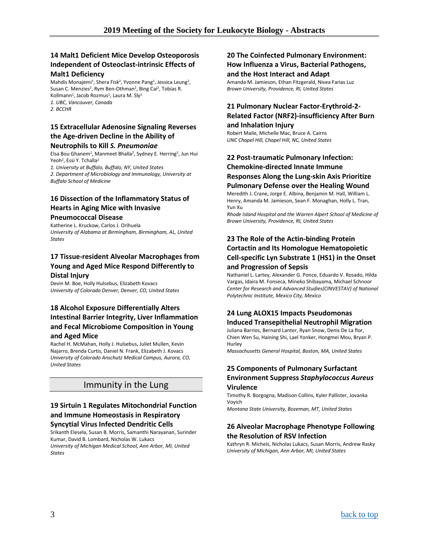### **14 Malt1 Deficient Mice Develop Osteoporosis Independent of Osteoclast-intrinsic Effects of**

#### **Malt1 Deficiency**

Mahdis Monajemi<sup>1</sup>, Shera Fisk<sup>2</sup>, Yvonne Pang<sup>1</sup>, Jessica Leung<sup>2</sup>, Susan C. Menzies<sup>2</sup>, Rym Ben-Othman<sup>2</sup>, Bing Cai<sup>2</sup>, Tobias R. Kollmann<sup>1</sup>, Jacob Rozmus<sup>1</sup>, Laura M. Sly<sup>1</sup> *1. UBC, Vancouver, Canada 2. BCCHR*

### **15 Extracellular Adenosine Signaling Reverses the Age-driven Decline in the Ability of**

#### **Neutrophils to Kill** *S. Pneumoniae*

Elsa Bou Ghanem<sup>1</sup>, Manmeet Bhalla<sup>2</sup>, Sydney E. Herring<sup>2</sup>, Jun Hui Yeoh<sup>2</sup>, Essi Y. Tchalla<sup>2</sup>

*1. University at Buffalo, Buffalo, NY, United States 2. Department of Microbiology and Immunology, University at Buffalo School of Medicine*

### **16 Dissection of the Inflammatory Status of Hearts in Aging Mice with Invasive**

### **Pneumococcal Disease**

Katherine L. Kruckow, Carlos J. Orihuela *University of Alabama at Birmingham, Birmingham, AL, United States*

### **17 Tissue-resident Alveolar Macrophages from Young and Aged Mice Respond Differently to Distal Injury**

Devin M. Boe, Holly Hulsebus, Elizabeth Kovacs *University of Colorado Denver, Denver, CO, United States*

### **18 Alcohol Exposure Differentially Alters Intestinal Barrier Integrity, Liver Inflammation and Fecal Microbiome Composition in Young and Aged Mice**

Rachel H. McMahan, Holly J. Hulsebus, Juliet Mullen, Kevin Najarro, Brenda Curtis, Daniel N. Frank, Elizabeth J. Kovacs *University of Colorado Anschutz Medical Campus, Aurora, CO, United States*

### Immunity in the Lung

### <span id="page-2-0"></span>**19 Sirtuin 1 Regulates Mitochondrial Function and Immune Homeostasis in Respiratory Syncytial Virus Infected Dendritic Cells**

Srikanth Elesela, Susan B. Morris, Samanthi Narayanan, Surinder Kumar, David B. Lombard, Nicholas W. Lukacs *University of Michigan Medical School, Ann Arbor, MI, United States*

### **20 The Coinfected Pulmonary Environment: How Influenza a Virus, Bacterial Pathogens,**

#### **and the Host Interact and Adapt**

Amanda M. Jamieson, Ethan Fitzgerald, Nivea Farias Luz *Brown University, Providence, RI, United States*

#### **21 Pulmonary Nuclear Factor-Erythroid-2- Related Factor (NRF2)-insufficiency After Burn and Inhalation Injury**

Robert Maile, Michelle Mac, Bruce A. Cairns *UNC Chapel Hill, Chapel Hill, NC, United States*

### **22 Post-traumatic Pulmonary Infection: Chemokine-directed Innate Immune Responses Along the Lung-skin Axis Prioritize Pulmonary Defense over the Healing Wound**

Meredith J. Crane, Jorge E. Albina, Benjamin M. Hall, William L. Henry, Amanda M. Jamieson, Sean F. Monaghan, Holly L. Tran, Yun Xu

*Rhode Island Hospital and the Warren Alpert School of Medicine of Brown University, Providence, RI, United States*

### **23 The Role of the Actin-binding Protein Cortactin and Its Homologue Hematopoietic Cell-specific Lyn Substrate 1 (HS1) in the Onset and Progression of Sepsis**

Nathaniel L. Lartey, Alexander G. Ponce, Eduardo V. Rosado, Hilda Vargas, Idaira M. Fonseca, Mineko Shibayama, Michael Schnoor *Center for Research and Advanced Studies(CINVESTAV) of National Polytechnic Institute, Mexico City, Mexico*

### **24 Lung ALOX15 Impacts Pseudomonas Induced Transepithelial Neutrophil Migration**

Juliana Barrios, Bernard Lanter, Ryan Snow, Denis De La flor, Chien Wen Su, Haining Shi, Lael Yonker, Hongmei Mou, Bryan P. Hurley

*Massachusetts General Hospital, Boston, MA, United States*

### **25 Components of Pulmonary Surfactant Environment Suppress** *Staphylococcus Aureus* **Virulence**

Timothy R. Borgogna, Madison Collins, Kyler Pallister, Jovanka Voyich

*Montana State University, Bozeman, MT, United States*

### **26 Alveolar Macrophage Phenotype Following the Resolution of RSV Infection**

Kathryn R. Michels, Nicholas Lukacs, Susan Morris, Andrew Rasky *University of Michigan, Ann Arbor, MI, United States*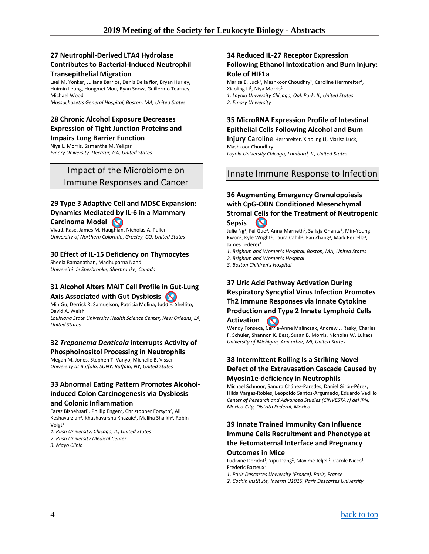### **27 Neutrophil-Derived LTA4 Hydrolase Contributes to Bacterial-Induced Neutrophil Transepithelial Migration**

Lael M. Yonker, Juliana Barrios, Denis De la flor, Bryan Hurley, Huimin Leung, Hongmei Mou, Ryan Snow, Guillermo Tearney, Michael Wood

*Massachusetts General Hospital, Boston, MA, United States*

### **28 Chronic Alcohol Exposure Decreases Expression of Tight Junction Proteins and**

**Impairs Lung Barrier Function**

Niya L. Morris, Samantha M. Yeligar *Emory University, Decatur, GA, United States*

### <span id="page-3-0"></span>Impact of the Microbiome on Immune Responses and Cancer

### **29 Type 3 Adaptive Cell and MDSC Expansion: Dynamics Mediated by IL-6 in a Mammary**

**Carcinoma Model**

Viva J. Rasé, James M. Haughian, Nicholas A. Pullen *University of Northern Colorado, Greeley, CO, United States*

### **30 Effect of IL-15 Deficiency on Thymocytes**

Sheela Ramanathan, Madhuparna Nandi *Université de Sherbrooke, Sherbrooke, Canada*

### **31 Alcohol Alters MAIT Cell Profile in Gut-Lung Axis Associated with Gut Dysbiosis**

Min Gu, Derrick R. Samuelson, Patricia Molina, Judd E. Shellito, David A. Welsh

*Louisiana State University Health Science Center, New Orleans, LA, United States*

### **32** *Treponema Denticola* **interrupts Activity of Phosphoinositol Processing in Neutrophils**

Megan M. Jones, Stephen T. Vanyo, Michelle B. Visser *University at Buffalo, SUNY, Buffalo, NY, United States*

### **33 Abnormal Eating Pattern Promotes Alcoholinduced Colon Carcinogenesis via Dysbiosis and Colonic Inflammation**

Faraz Bishehsari<sup>1</sup>, Phillip Engen<sup>2</sup>, Christopher Forsyth<sup>2</sup>, Ali Keshavarzian<sup>2</sup>, Khashayarsha Khazaie<sup>3</sup>, Maliha Shaikh<sup>2</sup>, Robin Voigt2

*1. Rush University, Chicago, IL, United States 2. Rush University Medical Center*

*3. Mayo Clinic*

### **34 Reduced IL-27 Receptor Expression Following Ethanol Intoxication and Burn Injury: Role of HIF1a**

Marisa E. Luck<sup>1</sup>, Mashkoor Choudhry<sup>1</sup>, Caroline Herrnreiter<sup>1</sup>, Xiaoling Li<sup>1</sup>, Niya Morris<sup>2</sup> *1. Loyola University Chicago, Oak Park, IL, United States 2. Emory University*

### **35 MicroRNA Expression Profile of Intestinal Epithelial Cells Following Alcohol and Burn**

**Injury** Caroline Herrnreiter, Xiaoling Li, Marisa Luck, Mashkoor Choudhry

*Loyola University Chicago, Lombard, IL, United States*

### <span id="page-3-1"></span>Innate Immune Response to Infection

### **36 Augmenting Emergency Granulopoiesis with CpG-ODN Conditioned Mesenchymal Stromal Cells for the Treatment of Neutropenic**

**Sepsis**

Julie Ng<sup>1</sup>, Fei Guo<sup>2</sup>, Anna Marneth<sup>2</sup>, Sailaja Ghanta<sup>3</sup>, Min-Young Kwon<sup>2</sup>, Kyle Wright<sup>2</sup>, Laura Cahill<sup>2</sup>, Fan Zhang<sup>2</sup>, Mark Perrella<sup>2</sup>, James Lederer2

*1. Brigham and Women's Hospital, Boston, MA, United States*

*2. Brigham and Women's Hospital*

*3. Boston Children's Hospital*

### **37 Uric Acid Pathway Activation During Respiratory Syncytial Virus Infection Promotes Th2 Immune Responses via Innate Cytokine Production and Type 2 Innate Lymphoid Cells Activation**

Wendy Fonseca, Carrie-Anne Malinczak, Andrew J. Rasky, Charles F. Schuler, Shannon K. Best, Susan B. Morris, Nicholas W. Lukacs *University of Michigan, Ann arbor, MI, United States*

### **38 Intermittent Rolling Is a Striking Novel Defect of the Extravasation Cascade Caused by Myosin1e-deficiency in Neutrophils**

Michael Schnoor, Sandra Chánez-Paredes, Daniel Girón-Pérez, Hilda Vargas-Robles, Leopoldo Santos-Argumedo, Eduardo Vadillo *Center of Research and Advanced Studies (CINVESTAV) del IPN, Mexico-City, Distrito Federal, Mexico*

### **39 Innate Trained Immunity Can Influence Immune Cells Recruitment and Phenotype at the Fetomaternal Interface and Pregnancy Outcomes in Mice**

Ludivine Doridot<sup>1</sup>, Yipu Dang<sup>2</sup>, Maxime Jeljeli<sup>2</sup>, Carole Nicco<sup>2</sup>, Frederic Batteux2

*1. Paris Descartes University (France), Paris, France*

*2. Cochin Institute, Inserm U1016, Paris Descartes University*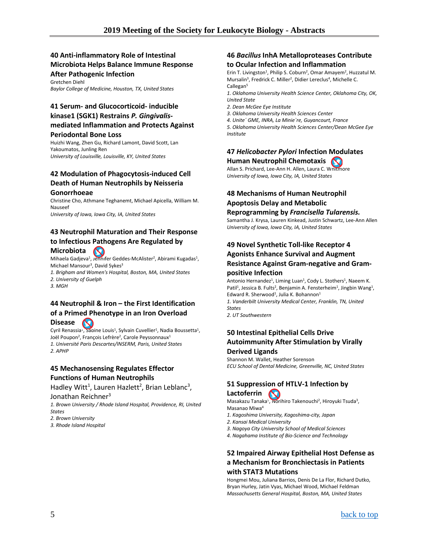### **40 Anti-inflammatory Role of Intestinal Microbiota Helps Balance Immune Response After Pathogenic Infection**

Gretchen Diehl *Baylor College of Medicine, Houston, TX, United States*

### **41 Serum- and Glucocorticoid- inducible kinase1 (SGK1) Restrains** *P. Gingivalis***mediated Inflammation and Protects Against Periodontal Bone Loss**

Huizhi Wang, Zhen Gu, Richard Lamont, David Scott, Lan Yakoumatos, Junling Ren

*University of Louisville, Louisville, KY, United States*

### **42 Modulation of Phagocytosis-induced Cell Death of Human Neutrophils by Neisseria Gonorrhoeae**

Christine Cho, Athmane Teghanemt, Michael Apicella, William M. Nauseef

*University of Iowa, Iowa City, IA, United States*

#### **43 Neutrophil Maturation and Their Response to Infectious Pathogens Are Regulated by Microbiota**   $\boldsymbol{\infty}$

Mihaela Gadjeva<sup>1</sup>, Jennifer Geddes-McAlister<sup>2</sup>, Abirami Kugadas<sup>1</sup>, Michael Mansour<sup>3</sup>, David Sykes<sup>3</sup>

*1. Brigham and Women's Hospital, Boston, MA, United States 2. University of Guelph*

*3. MGH*

### **44 Neutrophil & Iron – the First Identification of a Primed Phenotype in an Iron Overload**

**Disease**  $\infty$ 

Cyril Renassia<sup>1</sup>, Sabine Louis<sup>1</sup>, Sylvain Cuvellier<sup>1</sup>, Nadia Boussetta<sup>1</sup>, Joël Poupon<sup>2</sup>, François Lefrère<sup>2</sup>, Carole Peyssonnaux<sup>1</sup> *1. Université Paris Descartes/INSERM, Paris, United States 2. APHP*

### **45 Mechanosensing Regulates Effector Functions of Human Neutrophils**

Hadley Witt<sup>1</sup>, Lauren Hazlett<sup>2</sup>, Brian Leblanc<sup>3</sup>,

#### Jonathan Reichner<sup>3</sup>

*1. Brown University / Rhode Island Hospital, Providence, RI, United States*

- *2. Brown University*
- *3. Rhode Island Hospital*

#### **46** *Bacillus* **InhA Metalloproteases Contribute to Ocular Infection and Inflammation**

Erin T. Livingston<sup>1</sup>, Philip S. Coburn<sup>2</sup>, Omar Amayem<sup>2</sup>, Huzzatul M. Mursalin<sup>3</sup>, Fredrick C. Miller<sup>2</sup>, Didier Lereclus<sup>4</sup>, Michelle C. Callegan<sup>5</sup>

*1. Oklahoma University Health Science Center, Oklahoma City, OK, United State*

- *2. Dean McGee Eye Institute*
- *3. Oklahoma University Health Sciences Center*
- *4. Unite´ GME, INRA, La Minie`re, Guyancourt, France*

*5. Oklahoma University Health Sciences Center/Dean McGee Eye Institute*

### **47** *Helicobacter Pylori* **Infection Modulates Human Neutrophil Chemotaxis**

Allan S. Prichard, Lee-Ann H. Allen, Laura C. Whitmore *University of Iowa, Iowa City, IA, United States*

### **48 Mechanisms of Human Neutrophil Apoptosis Delay and Metabolic Reprogramming by** *Francisella Tularensis.*

Samantha J. Krysa, Lauren Kinkead, Justin Schwartz, Lee-Ann Allen *University of Iowa, Iowa City, IA, United States*

### **49 Novel Synthetic Toll-like Receptor 4 Agonists Enhance Survival and Augment Resistance Against Gram-negative and Grampositive Infection**

Antonio Hernandez<sup>1</sup>, Liming Luan<sup>1</sup>, Cody L. Stothers<sup>1</sup>, Naeem K. Patil<sup>1</sup>, Jessica B. Fults<sup>2</sup>, Benjamin A. Fensterheim<sup>1</sup>, Jingbin Wang<sup>1</sup>, Edward R. Sherwood<sup>1</sup>, Julia K. Bohannon<sup>1</sup> *1. Vanderbilt University Medical Center, Franklin, TN, United States 2. UT Southwestern*

### **50 Intestinal Epithelial Cells Drive Autoimmunity After Stimulation by Virally Derived Ligands**

Shannon M. Wallet, Heather Sorenson *ECU School of Dental Medicine, Greenville, NC, United States*

### **51 Suppression of HTLV-1 Infection by Lactoferrin**

Masakazu Tanaka<sup>1</sup>, Norihiro Takenouchi<sup>2</sup>, Hiroyuki Tsuda<sup>3</sup>, Masanao Miwa4

- *1. Kagoshima University, Kagoshima-city, Japan*
- *2. Kansai Medical University*
- *3. Nagoya City University School of Medical Sciences*
- *4. Nagahama Institute of Bio-Science and Technology*

### **52 Impaired Airway Epithelial Host Defense as a Mechanism for Bronchiectasis in Patients with STAT3 Mutations**

Hongmei Mou, Juliana Barrios, Denis De La Flor, Richard Dutko, Bryan Hurley, Jatin Vyas, Michael Wood, Michael Feldman *Massachusetts General Hospital, Boston, MA, United States*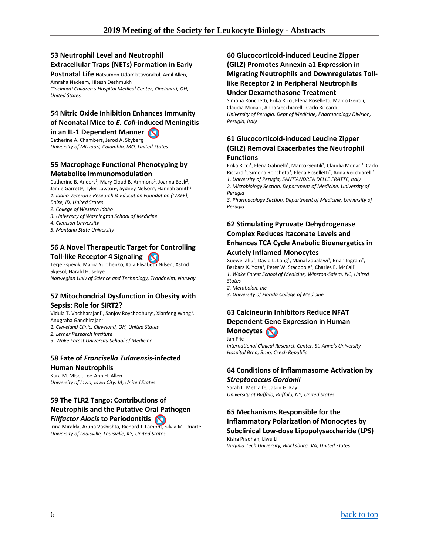### **53 Neutrophil Level and Neutrophil Extracellular Traps (NETs) Formation in Early**

**Postnatal Life** Natsumon Udomkittivorakul, Amil Allen, Amraha Nadeem, Hitesh Deshmukh *Cincinnati Children's Hospital Medical Center, Cincinnati, OH, United States*

### **54 Nitric Oxide Inhibition Enhances Immunity of Neonatal Mice to** *E. Coli***-induced Meningitis in an IL-1 Dependent Manner**

Catherine A. Chambers, Jerod A. Skyberg *University of Missouri, Columbia, MO, United States*

### **55 Macrophage Functional Phenotyping by Metabolite Immunomodulation**

Catherine B. Anders<sup>1</sup>, Mary Cloud B. Ammons<sup>1</sup>, Joanna Beck<sup>2</sup>, Jamie Garrett<sup>3</sup>, Tyler Lawton<sup>1</sup>, Sydney Nelson<sup>4</sup>, Hannah Smith<sup>5</sup> *1. Idaho Veteran's Research & Education Foundation (IVREF), Boise, ID, United States*

- *2. College of Western Idaho*
- *3. University of Washington School of Medicine*
- *4. Clemson University*
- *5. Montana State University*

### **56 A Novel Therapeutic Target for Controlling Toll-like Receptor 4 Signaling**

Terje Espevik, Mariia Yurchenko, Kaja Elisabeth Nilsen, Astrid Skjesol, Harald Husebye

*Norwegian Univ of Science and Technology, Trondheim, Norway*

### **57 Mitochondrial Dysfunction in Obesity with Sepsis: Role for SIRT2?**

Vidula T. Vachharajani<sup>1</sup>, Sanjoy Roychodhury<sup>2</sup>, Xianfeng Wang<sup>3</sup>, Anugraha Gandhirajan2

- *1. Cleveland Clinic, Cleveland, OH, United States*
- *2. Lerner Research Institute*
- *3. Wake Forest University School of Medicine*

### **58 Fate of** *Francisella Tularensis***-infected Human Neutrophils**

Kara M. Misel, Lee-Ann H. Allen *University of Iowa, Iowa City, IA, United States*

### **59 The TLR2 Tango: Contributions of Neutrophils and the Putative Oral Pathogen**

### *Filifactor Alocis* **to Periodontitis**

Irina Miralda, Aruna Vashishta, Richard J. Lamont, Silvia M. Uriarte *University of Louisville, Louisville, KY, United States*

### **60 Glucocorticoid-induced Leucine Zipper (GILZ) Promotes Annexin a1 Expression in Migrating Neutrophils and Downregulates Tolllike Receptor 2 in Peripheral Neutrophils Under Dexamethasone Treatment**

Simona Ronchetti, Erika Ricci, Elena Roselletti, Marco Gentili, Claudia Monari, Anna Vecchiarelli, Carlo Riccardi *University of Perugia, Dept of Medicine, Pharmacology Division, Perugia, Italy*

### **61 Glucocorticoid-induced Leucine Zipper (GILZ) Removal Exacerbates the Neutrophil Functions**

Erika Ricci<sup>1</sup>, Elena Gabrielli<sup>2</sup>, Marco Gentili<sup>3</sup>, Claudia Monari<sup>2</sup>, Carlo Riccardi<sup>3</sup>, Simona Ronchetti<sup>3</sup>, Elena Roselletti<sup>2</sup>, Anna Vecchiarelli<sup>2</sup> *1. University of Perugia, SANT'ANDREA DELLE FRATTE, Italy 2. Microbiology Section, Department of Medicine, University of Perugia*

*3. Pharmacology Section, Department of Medicine, University of Perugia*

### **62 Stimulating Pyruvate Dehydrogenase Complex Reduces Itaconate Levels and Enhances TCA Cycle Anabolic Bioenergetics in Acutely Inflamed Monocytes**

Xuewei Zhu<sup>1</sup>, David L. Long<sup>1</sup>, Manal Zabalawi<sup>1</sup>, Brian Ingram<sup>2</sup>, Barbara K. Yoza<sup>1</sup>, Peter W. Stacpoole<sup>3</sup>, Charles E. McCall<sup>1</sup> *1. Wake Forest School of Medicine, Winston-Salem, NC, United States*

*2. Metabolon, Inc*

*3. University of Florida College of Medicine*

### **63 Calcineurin Inhibitors Reduce NFAT Dependent Gene Expression in Human Monocytes**

Jan Fric

*International Clinical Research Center, St. Anne's University Hospital Brno, Brno, Czech Republic*

## **64 Conditions of Inflammasome Activation by**

*Streptococcus Gordonii* Sarah L. Metcalfe, Jason G. Kay *University at Buffalo, Buffalo, NY, United States*

### **65 Mechanisms Responsible for the Inflammatory Polarization of Monocytes by**

### **Subclinical Low-dose Lipopolysaccharide (LPS)**

Kisha Pradhan, Liwu Li *Virginia Tech University, Blacksburg, VA, United States*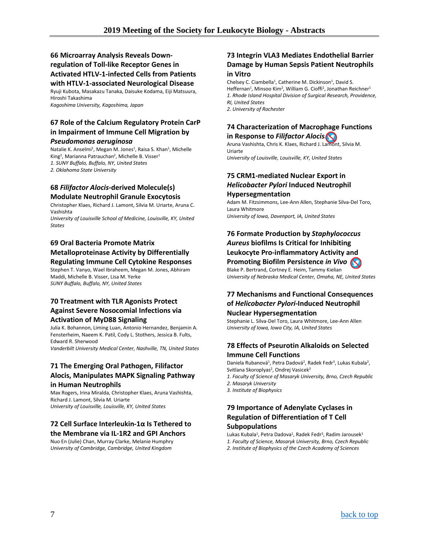### **66 Microarray Analysis Reveals Downregulation of Toll-like Receptor Genes in Activated HTLV-1-infected Cells from Patients**

**with HTLV-1-associated Neurological Disease** Ryuji Kubota, Masakazu Tanaka, Daisuke Kodama, Eiji Matsuura, Hiroshi Takashima

*Kagoshima University, Kagoshima, Japan*

### **67 Role of the Calcium Regulatory Protein CarP in Impairment of Immune Cell Migration by**

#### *Pseudomonas aeruginosa*

Natalie K. Anselmi<sup>1</sup>, Megan M. Jones<sup>1</sup>, Raisa S. Khan<sup>1</sup>, Michelle King<sup>2</sup>, Marianna Patrauchan<sup>2</sup>, Michelle B. Visser<sup>1</sup> *1. SUNY Buffalo, Buffalo, NY, United States*

*2. Oklahoma State University*

### **68** *Filifactor Alocis***-derived Molecule(s) Modulate Neutrophil Granule Exocytosis**

Christopher Klaes, Richard J. Lamont, Silvia M. Uriarte, Aruna C. Vashishta

*University of Louisville School of Medicine, Louisville, KY, United States*

### **69 Oral Bacteria Promote Matrix Metalloproteinase Activity by Differentially Regulating Immune Cell Cytokine Responses**

Stephen T. Vanyo, Wael Ibraheem, Megan M. Jones, Abhiram Maddi, Michelle B. Visser, Lisa M. Yerke *SUNY Buffalo, Buffalo, NY, United States*

### **70 Treatment with TLR Agonists Protect Against Severe Nosocomial Infections via Activation of MyD88 Signaling**

Julia K. Bohannon, Liming Luan, Antonio Hernandez, Benjamin A. Fensterheim, Naeem K. Patil, Cody L. Stothers, Jessica B. Fults, Edward R. Sherwood

*Vanderbilt University Medical Center, Nashville, TN, United States*

### **71 The Emerging Oral Pathogen, Filifactor Alocis, Manipulates MAPK Signaling Pathway in Human Neutrophils**

Max Rogers, Irina Miralda, Christopher Klaes, Aruna Vashishta, Richard J. Lamont, Silvia M. Uriarte *University of Louisville, Louisville, KY, United States*

### **72 Cell Surface Interleukin-1α Is Tethered to the Membrane via IL-1R2 and GPI Anchors**

Nuo En (Julie) Chan, Murray Clarke, Melanie Humphry *University of Cambridge, Cambridge, United Kingdom*

### **73 Integrin VLA3 Mediates Endothelial Barrier Damage by Human Sepsis Patient Neutrophils in Vitro**

Chelsey C. Ciambella<sup>1</sup>, Catherine M. Dickinson<sup>1</sup>, David S. Heffernan<sup>1</sup>, Minsoo Kim<sup>2</sup>, William G. Cioffi<sup>1</sup>, Jonathan Reichner<sup>1</sup> *1. Rhode Island Hospital Division of Surgical Research, Providence, RI, United States 2. University of Rochester*

### **74 Characterization of Macrophage Functions in Response to** *Filifactor Alocis.*

Aruna Vashishta, Chris K. Klaes, Richard J. Lamont, Silvia M. Uriarte

*University of Louisville, Louisville, KY, United States*

### **75 CRM1-mediated Nuclear Export in**  *Helicobacter Pylori* **Induced Neutrophil Hypersegmentation**

Adam M. Fitzsimmons, Lee-Ann Allen, Stephanie Silva-Del Toro, Laura Whitmore *University of Iowa, Davenport, IA, United States*

### **76 Formate Production by** *Staphylococcus Aureus* **biofilms Is Critical for Inhibiting Leukocyte Pro-inflammatory Activity and Promoting Biofilm Persistence** *in Vivo*

Blake P. Bertrand, Cortney E. Heim, Tammy Kielian

*University of Nebraska Medical Center, Omaha, NE, United States*

### **77 Mechanisms and Functional Consequences of** *Helicobacter Pylori***-Induced Neutrophil Nuclear Hypersegmentation**

Stephanie L. Silva-Del Toro, Laura Whitmore, Lee-Ann Allen *University of Iowa, Iowa City, IA, United States*

### **78 Effects of Pseurotin Alkaloids on Selected Immune Cell Functions**

Daniela Rubanová<sup>1</sup>, Petra Dadová<sup>2</sup>, Radek Fedr<sup>3</sup>, Lukas Kubala<sup>2</sup>, Svitlana Skoroplyas<sup>2</sup>, Ondrej Vasicek<sup>3</sup>

- *1. Faculty of Science of Masaryk University, Brno, Czech Republic*
- *2. Masaryk University*
- *3. Institute of Biophysics*

### **79 Importance of Adenylate Cyclases in Regulation of Differentiation of T Cell Subpopulations**

### Lukas Kubala<sup>1</sup>, Petra Dadova<sup>1</sup>, Radek Fedr<sup>3</sup>, Radim Jarousek<sup>1</sup>

- *1. Faculty of Science, Masaryk University, Brno, Czech Republic*
- *2. Institute of Biophysics of the Czech Academy of Sciences*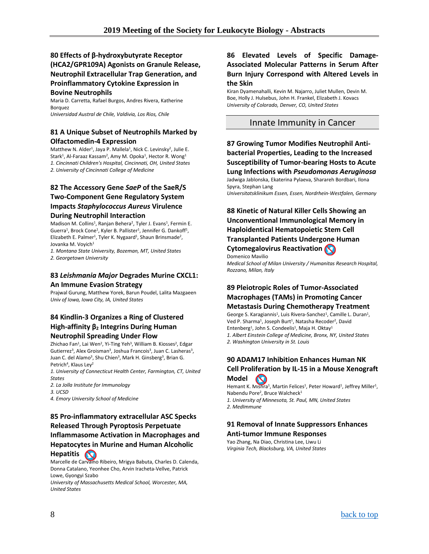### **80 Effects of β-hydroxybutyrate Receptor (HCA2/GPR109A) Agonists on Granule Release, Neutrophil Extracellular Trap Generation, and Proinflammatory Cytokine Expression in Bovine Neutrophils**

Maria D. Carretta, Rafael Burgos, Andres Rivera, Katherine Borquez

*Universidad Austral de Chile, Valdivia, Los Rios, Chile*

### **81 A Unique Subset of Neutrophils Marked by Olfactomedin-4 Expression**

Matthew N. Alder<sup>1</sup>, Jaya P. Mallela<sup>1</sup>, Nick C. Levinsky<sup>2</sup>, Julie E. Stark<sup>1</sup>, Al-Faraaz Kassam<sup>2</sup>, Amy M. Opoka<sup>1</sup>, Hector R. Wong<sup>1</sup> *1. Cincinnati Children's Hospital, Cincinnati, OH, United States 2. University of Cincinnati College of Medicine*

### **82 The Accessory Gene** *SaeP* **of the SaeR/S Two-Component Gene Regulatory System Impacts** *Staphylococcus Aureus* **Virulence During Neutrophil Interaction**

Madison M. Collins<sup>1</sup>, Ranjan Behera<sup>2</sup>, Tyler J. Evans<sup>1</sup>, Fermin E. Guerra<sup>1</sup>, Brock Cone<sup>1</sup>, Kyler B. Pallister<sup>1</sup>, Jennifer G. Dankoff<sup>1</sup>, Elizabeth E. Palmer<sup>1</sup>, Tyler K. Nygaard<sup>1</sup>, Shaun Brinsmade<sup>2</sup>, Jovanka M. Vovich<sup>1</sup>

*1. Montana State University, Bozeman, MT, United States 2. Georgetown University*

### **83** *Leishmania Major* **Degrades Murine CXCL1: An Immune Evasion Strategy**

Prajwal Gurung, Matthew Yorek, Barun Poudel, Lalita Mazgaeen *Univ of Iowa, Iowa City, IA, United States*

### **84 Kindlin-3 Organizes a Ring of Clustered High-affinity β<sup>2</sup> Integrins During Human Neutrophil Spreading Under Flow**

Zhichao Fan<sup>1</sup>, Lai Wen<sup>2</sup>, Yi-Ting Yeh<sup>3</sup>, William B. Kiosses<sup>2</sup>, Edgar Gutierrez<sup>3</sup>, Alex Groisman<sup>3</sup>, Joshua Francois<sup>3</sup>, Juan C. Lasheras<sup>3</sup>, Juan C. del Alamo<sup>3</sup>, Shu Chien<sup>3</sup>, Mark H. Ginsberg<sup>3</sup>, Brian G. Petrich<sup>4</sup>, Klaus Ley<sup>2</sup>

*1. University of Connecticut Health Center, Farmington, CT, United States*

- *2. La Jolla Institute for Immunology*
- *3. UCSD*

*4. Emory University School of Medicine*

### **85 Pro-inflammatory extracellular ASC Specks Released Through Pyroptosis Perpetuate Inflammasome Activation in Macrophages and Hepatocytes in Murine and Human Alcoholic Hepatitis**

Marcelle de Carvalho Ribeiro, Mrigya Babuta, Charles D. Calenda, Donna Catalano, Yeonhee Cho, Arvin Iracheta-Vellve, Patrick Lowe, Gyongyi Szabo

*University of Massachusetts Medical School, Worcester, MA, United States*

### **86 Elevated Levels of Specific Damage-Associated Molecular Patterns in Serum After Burn Injury Correspond with Altered Levels in the Skin**

Kiran Dyamenahalli, Kevin M. Najarro, Juliet Mullen, Devin M. Boe, Holly J. Hulsebus, John H. Frankel, Elizabeth J. Kovacs *University of Colorado, Denver, CO, United States*

### <span id="page-7-0"></span>Innate Immunity in Cancer

**87 Growing Tumor Modifies Neutrophil Antibacterial Properties, Leading to the Increased Susceptibility of Tumor-bearing Hosts to Acute Lung Infections with** *Pseudomonas Aeruginosa* Jadwiga Jablonska, Ekaterina Pylaeva, Sharareh Bordbari, Ilona Spyra, Stephan Lang

*Universitatsklinikum Essen, Essen, Nordrhein-Westfalen, Germany*

### **88 Kinetic of Natural Killer Cells Showing an Unconventional Immunological Memory in Haploidentical Hematopoietic Stem Cell Transplanted Patients Undergone Human Cytomegalovirus Reactivation**

Domenico Mavilio *Medical School of Milan University / Humanitas Research Hospital, Rozzano, Milan, Italy*

### **89 Pleiotropic Roles of Tumor-Associated Macrophages (TAMs) in Promoting Cancer Metastasis During Chemotherapy Treatment**

George S. Karagiannis<sup>1</sup>, Luis Rivera-Sanchez<sup>1</sup>, Camille L. Duran<sup>1</sup>, Ved P. Sharma<sup>1</sup>, Joseph Burt<sup>1</sup>, Natasha Recoder<sup>2</sup>, David Entenberg<sup>1</sup>, John S. Condeelis<sup>1</sup>, Maja H. Oktay<sup>1</sup> *1. Albert Einstein College of Medicine, Bronx, NY, United States*

*2. Washington University in St. Louis*

### **90 ADAM17 Inhibition Enhances Human NK Cell Proliferation by IL-15 in a Mouse Xenograft Model**

Hemant K. Mishra<sup>1</sup>, Martin Felices<sup>1</sup>, Peter Howard<sup>1</sup>, Jeffrey Miller<sup>1</sup>, Nabendu Pore<sup>2</sup>, Bruce Walcheck<sup>1</sup> *1. University of Minnesota, St. Paul, MN, United States 2. MedImmune*

### **91 Removal of Innate Suppressors Enhances Anti-tumor Immune Responses**

Yao Zhang, Na Diao, Christina Lee, Liwu Li *Virginia Tech, Blacksburg, VA, United States*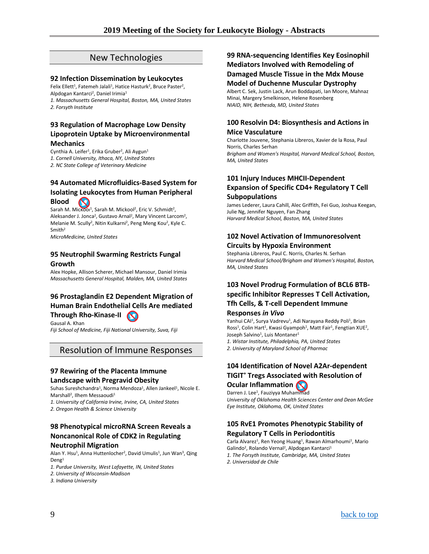### New Technologies

#### <span id="page-8-0"></span>**92 Infection Dissemination by Leukocytes**

Felix Ellett<sup>1</sup>, Fatemeh Jalali<sup>1</sup>, Hatice Hasturk<sup>2</sup>, Bruce Paster<sup>2</sup>, Alpdogan Kantarci<sup>2</sup>, Daniel Irimia<sup>1</sup> *1. Massachusetts General Hospital, Boston, MA, United States*

*2. Forsyth Institute*

#### **93 Regulation of Macrophage Low Density Lipoprotein Uptake by Microenvironmental Mechanics**

Cynthia A. Leifer<sup>1</sup>, Erika Gruber<sup>2</sup>, Ali Aygun<sup>1</sup> *1. Cornell University, Ithaca, NY, United States 2. NC State College of Veterinary Medicine*

### **94 Automated Microfluidics-Based System for Isolating Leukocytes from Human Peripheral Blood**

Sarah M. Mickool<sup>1</sup>, Sarah M. Mickool<sup>2</sup>, Eric V. Schmidt<sup>2</sup>, Aleksander J. Jonca<sup>2</sup>, Gustavo Arnal<sup>2</sup>, Mary Vincent Larcom<sup>2</sup>, Melanie M. Scully2, Nitin Kulkarni2, Peng Meng Kou2, Kyle C. Smith2

*MicroMedicine, United States*

#### **95 Neutrophil Swarming Restricts Fungal Growth**

Alex Hopke, Allison Scherer, Michael Mansour, Daniel Irimia *Massachusetts General Hospital, Malden, MA, United States*

### **96 Prostaglandin E2 Dependent Migration of Human Brain Endothelial Cells Are mediated Through Rho-Kinase-II**

Gausal A. Khan *Fiji School of Medicine, Fiji National University, Suva, Fiji*

### <span id="page-8-1"></span>Resolution of Immune Responses

### **97 Rewiring of the Placenta Immune Landscape with Pregravid Obesity**

Suhas Sureshchandra<sup>1</sup>, Norma Mendoza<sup>1</sup>, Allen Jankeel<sup>1</sup>, Nicole E. Marshall<sup>2</sup>, Ilhem Messaoudi<sup>1</sup>

*1. University of California Irvine, Irvine, CA, United States*

*2. Oregon Health & Science University*

### **98 Phenotypical microRNA Screen Reveals a Noncanonical Role of CDK2 in Regulating Neutrophil Migration**

Alan Y. Hsu<sup>1</sup>, Anna Huttenlocher<sup>2</sup>, David Umulis<sup>1</sup>, Jun Wan<sup>3</sup>, Qing Deng1

- *1. Purdue University, West Lafayette, IN, United States*
- *2. University of Wisconsin-Madison*

*3. Indiana University*

### **99 RNA-sequencing Identifies Key Eosinophil Mediators Involved with Remodeling of Damaged Muscle Tissue in the Mdx Mouse Model of Duchenne Muscular Dystrophy**

Albert C. Sek, Justin Lack, Arun Boddapati, Ian Moore, Mahnaz Minai, Margery Smelkinson, Helene Rosenberg *NIAID, NIH, Bethesda, MD, United States*

### **100 Resolvin D4: Biosynthesis and Actions in Mice Vasculature**

Charlotte Jouvene, Stephania Libreros, Xavier de la Rosa, Paul Norris, Charles Serhan *Brigham and Women's Hospital, Harvard Medical School, Boston, MA, United States*

### **101 Injury Induces MHCII-Dependent Expansion of Specific CD4+ Regulatory T Cell Subpopulations**

James Lederer, Laura Cahill, Alec Griffith, Fei Guo, Joshua Keegan, Julie Ng, Jennifer Nguyen, Fan Zhang *Harvard Medical School, Boston, MA, United States*

### **102 Novel Activation of Immunoresolvent Circuits by Hypoxia Environment**

Stephania Libreros, Paul C. Norris, Charles N. Serhan *Harvard Medical School/Brigham and Women's Hospital, Boston, MA, United States*

### **103 Novel Prodrug Formulation of BCL6 BTBspecific Inhibitor Represses T Cell Activation, Tfh Cells, & T-cell Dependent Immune Responses** *in Vivo*

Yanhui CAI<sup>1</sup>, Surya Vadrevu<sup>1</sup>, Adi Narayana Reddy Poli<sup>1</sup>, Brian Ross<sup>1</sup>, Colin Hart<sup>1</sup>, Kwasi Gyampoh<sup>1</sup>, Matt Fair<sup>1</sup>, Fengtian XUE<sup>2</sup>, Joseph Salvino<sup>1</sup>, Luis Montaner<sup>1</sup>

*1. Wistar Institute, Philadelphia, PA, United States*

*2. University of Maryland School of Pharmac*

### **104 Identification of Novel A2Ar-dependent TIGIT+ Tregs Associated with Resolution of Ocular Inflammation**

Darren J. Lee<sup>1</sup>, Fauziyya Muhammad *University of Oklahoma Health Sciences Center and Dean McGee Eye Institute, Oklahoma, OK, United States*

### **105 RvE1 Promotes Phenotypic Stability of Regulatory T Cells in Periodontitis**

Carla Alvarez<sup>1</sup>, Ren Yeong Huang<sup>1</sup>, Rawan Almarhoumi<sup>1</sup>, Mario Galindo<sup>2</sup>, Rolando Vernal<sup>2</sup>, Alpdogan Kantarci<sup>1</sup> *1. The Forsyth Institute, Cambridge, MA, United States*

*2. Universidad de Chile*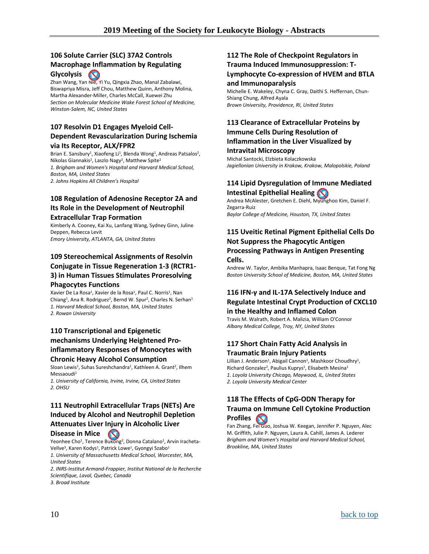### **106 Solute Carrier (SLC) 37A2 Controls Macrophage Inflammation by Regulating**

**Glycolysis**   $\infty$ 

Zhan Wang, Yan Nie, Yi Yu, Qingxia Zhao, Manal Zabalawi, Biswapriya Misra, Jeff Chou, Matthew Quinn, Anthony Molina, Martha Alexander-Miller, Charles McCall, Xuewei Zhu *Section on Molecular Medicine Wake Forest School of Medicine, Winston-Salem, NC, United States*

### **107 Resolvin D1 Engages Myeloid Cell-Dependent Revascularization During Ischemia via Its Receptor, ALX/FPR2**

Brian E. Sansbury<sup>1</sup>, Xiaofeng Li<sup>1</sup>, Blenda Wong<sup>1</sup>, Andreas Patsalos<sup>2</sup>, Nikolas Giannakis<sup>2</sup>, Laszlo Nagy<sup>2</sup>, Matthew Spite<sup>1</sup> *1. Brigham and Women's Hospital and Harvard Medical School, Boston, MA, United States 2. Johns Hopkins All Children's Hospital*

### **108 Regulation of Adenosine Receptor 2A and Its Role in the Development of Neutrophil Extracellular Trap Formation**

Kimberly A. Cooney, Kai Xu, Lanfang Wang, Sydney Ginn, Juline Deppen, Rebecca Levit *Emory University, ATLANTA, GA, United States*

### **109 Stereochemical Assignments of Resolvin Conjugate in Tissue Regeneration 1-3 (RCTR1- 3) in Human Tissues Stimulates Proresolving Phagocytes Functions**

Xavier De La Rosa<sup>1</sup>, Xavier de la Rosa<sup>1</sup>, Paul C. Norris<sup>1</sup>, Nan Chiang<sup>1</sup>, Ana R. Rodriguez<sup>2</sup>, Bernd W. Spur<sup>2</sup>, Charles N. Serhan<sup>1</sup> *1. Harvard Medical School, Boston, MA, United States 2. Rowan University*

### **110 Transcriptional and Epigenetic mechanisms Underlying Heightened Proinflammatory Responses of Monocytes with Chronic Heavy Alcohol Consumption**

Sloan Lewis<sup>1</sup>, Suhas Sureshchandra<sup>1</sup>, Kathleen A. Grant<sup>2</sup>, Ilhem Messaoudi<sup>1</sup>

*1. University of California, Irvine, Irvine, CA, United States 2. OHSU*

### **111 Neutrophil Extracellular Traps (NETs) Are Induced by Alcohol and Neutrophil Depletion Attenuates Liver Injury in Alcoholic Liver**

### **Disease in Mice**

Yeonhee Cho<sup>1</sup>, Terence Bukong<sup>2</sup>, Donna Catalano<sup>1</sup>, Arvin Iracheta-Vellve<sup>3</sup>, Karen Kodys<sup>1</sup>, Patrick Lowe<sup>1</sup>, Gyongyi Szabo<sup>1</sup>

*1. University of Massachusetts Medical School, Worcester, MA, United States*

*2. INRS-Institut Armand-Frappier, Institut National de la Recherche Scientifique, Laval, Quebec, Canada 3. Broad Institute*

### **112 The Role of Checkpoint Regulators in Trauma Induced Immunosuppression: T-Lymphocyte Co-expression of HVEM and BTLA**

#### **and Immunoparalysis**

Michelle E. Wakeley, Chyna C. Gray, Daithi S. Heffernan, Chun-Shiang Chung, Alfred Ayala *Brown University, Providence, RI, United States*

### **113 Clearance of Extracellular Proteins by Immune Cells During Resolution of Inflammation in the Liver Visualized by**

#### **Intravital Microscopy**

Michal Santocki, Elzbieta Kolaczkowska *Jagiellonian University in Krakow, Krakow, Malopolskie, Poland*

### **114 Lipid Dysregulation of Immune Mediated Intestinal Epithelial Healing**

Andrea McAlester, Gretchen E. Diehl, Myunghoo Kim, Daniel F. Zegarra-Ruiz *Baylor College of Medicine, Houston, TX, United States*

### **115 Uveitic Retinal Pigment Epithelial Cells Do Not Suppress the Phagocytic Antigen Processing Pathways in Antigen Presenting Cells.**

Andrew W. Taylor, Ambika Manhapra, Isaac Benque, Tat Fong Ng *Boston University School of Medicine, Boston, MA, United States*

### **116 IFN-γ and IL-17A Selectively Induce and Regulate Intestinal Crypt Production of CXCL10 in the Healthy and Inflamed Colon**

Travis M. Walrath, Robert A. Malizia, William O'Connor *Albany Medical College, Troy, NY, United States*

### **117 Short Chain Fatty Acid Analysis in Traumatic Brain Injury Patients**

Lillian J. Anderson<sup>1</sup>, Abigail Cannon<sup>1</sup>, Mashkoor Choudhry<sup>1</sup>, Richard Gonzalez<sup>2</sup>, Paulius Kuprys<sup>1</sup>, Elisabeth Mesina<sup>1</sup> *1. Loyola University Chicago, Maywood, IL, United States 2. Loyola University Medical Center*

#### **118 The Effects of CpG-ODN Therapy for Trauma on Immune Cell Cytokine Production Profiles**  $\infty$

Fan Zhang, Fei Guo, Joshua W. Keegan, Jennifer P. Nguyen, Alec M. Griffith, Julie P. Nguyen, Laura A. Cahill, James A. Lederer *Brigham and Women's Hospital and Harvard Medical School, Brookline, MA, United States*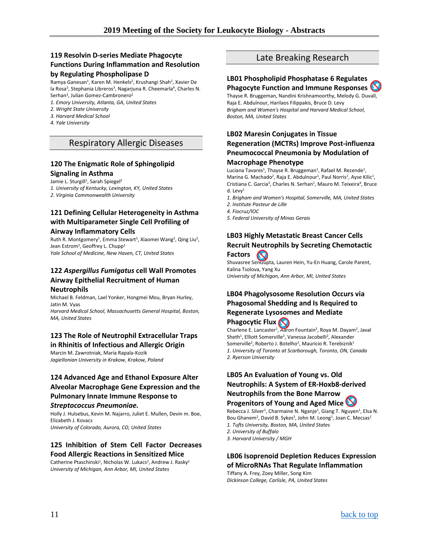### **119 Resolvin D-series Mediate Phagocyte Functions During Inflammation and Resolution**

### **by Regulating Phospholipase D**

Ramya Ganesan<sup>1</sup>, Karen M. Henkels<sup>2</sup>, Krushangi Shah<sup>2</sup>, Xavier De la Rosa<sup>3</sup>, Stephania Libreros<sup>3</sup>, Nagarjuna R. Cheemarla<sup>4</sup>, Charles N. Serhan<sup>3</sup>, Julian Gomez-Cambronero<sup>2</sup>

- *1. Emory University, Atlanta, GA, United States*
- *2. Wright State University*
- *3. Harvard Medical School*
- <span id="page-10-0"></span>*4. Yale University*

### Respiratory Allergic Diseases

### **120 The Enigmatic Role of Sphingolipid Signaling in Asthma**

#### Jamie L. Sturgill<sup>1</sup>, Sarah Spiegel<sup>2</sup>

*1. University of Kentucky, Lexington, KY, United States*

*2. Virginia Commonwealth University*

### **121 Defining Cellular Heterogeneity in Asthma with Multiparameter Single Cell Profiling of Airway Inflammatory Cells**

Ruth R. Montgomery<sup>1</sup>, Emma Stewart<sup>2</sup>, Xiaomei Wang<sup>2</sup>, Qing Liu<sup>2</sup>, Jean Estrom<sup>2</sup>, Geoffrey L. Chupp<sup>2</sup>

*Yale School of Medicine, New Haven, CT, United States*

### **122** *Aspergillus Fumigatus* **cell Wall Promotes Airway Epithelial Recruitment of Human Neutrophils**

Michael B. Feldman, Lael Yonker, Hongmei Mou, Bryan Hurley, Jatin M. Vyas

*Harvard Medical School, Massachusetts General Hospital, Boston, MA, United States*

### **123 The Role of Neutrophil Extracellular Traps in Rhinitis of Infectious and Allergic Origin**

Marcin M. Zawrotniak, Maria Rapala-Kozik *Jagiellonian University in Krakow, Krakow, Poland*

### **124 Advanced Age and Ethanol Exposure Alter Alveolar Macrophage Gene Expression and the Pulmonary Innate Immune Response to**

#### *Streptococcus Pneumoniae.*

Holly J. Hulsebus, Kevin M. Najarro, Juliet E. Mullen, Devin m. Boe, Elizabeth J. Kovacs

*University of Colorado, Aurora, CO, United States*

### **125 Inhibition of Stem Cell Factor Decreases Food Allergic Reactions in Sensitized Mice**

Catherine Ptaschinski<sup>1</sup>, Nicholas W. Lukacs<sup>2</sup>, Andrew J. Rasky<sup>2</sup> *University of Michigan, Ann Arbor, MI, United States*

### Late Breaking Research

#### <span id="page-10-1"></span>**LB01 Phospholipid Phosphatase 6 Regulates Phagocyte Function and Immune Responses**

Thayse R. Bruggeman, Nandini Krishnamoorthy, Melody G. Duvall, Raja E. Abdulnour, Harilaos Filippakis, Bruce D. Levy *Brigham and Women's Hospital and Harvard Medical School, Boston, MA, United States*

### **LB02 Maresin Conjugates in Tissue Regeneration (MCTRs) Improve Post-influenza Pneumococcal Pneumonia by Modulation of**

#### **Macrophage Phenotype**

Luciana Tavares<sup>1</sup>, Thayse R. Bruggeman<sup>1</sup>, Rafael M. Rezende<sup>1</sup>, Marina G. Machado<sup>2</sup>, Raja E. Abdulnour<sup>1</sup>, Paul Norris<sup>1</sup>, Ayse Kilic<sup>1</sup>, Cristiana C. Garcia<sup>3</sup>, Charles N. Serhan<sup>1</sup>, Mauro M. Teixeira<sup>4</sup>, Bruce d.  $I$  evv<sup>1</sup>

- *1. Brigham and Women's Hospital, Somerville, MA, United States 2. Institute Pasteur de Lille*
- *4. Fiocruz/IOC*
- *5. Federal University of Minas Gerais*

# **LB03 Highly Metastatic Breast Cancer Cells**

#### **Recruit Neutrophils by Secreting Chemotactic Factors**   $\sim$

Shuvasree SenGupta, Lauren Hein, Yu-En Huang, Carole Parent, Kalina Tsolova, Yang Xu *University of Michigan, Ann Arbor, MI, United States*

### **LB04 Phagolysosome Resolution Occurs via Phagosomal Shedding and Is Required to Regenerate Lysosomes and Mediate Phagocytic Flux**

Charlene E. Lancaster<sup>1</sup>, Aaron Fountain<sup>2</sup>, Roya M. Dayam<sup>2</sup>, Javal Sheth<sup>1</sup>, Elliott Somerville<sup>2</sup>, Vanessa Jacobelli<sup>2</sup>, Alexander Somerville<sup>2</sup>, Roberto J. Botelho<sup>2</sup>, Mauricio R. Terebiznik<sup>1</sup> *1. University of Toronto at Scarborough, Toronto, ON, Canada 2. Ryerson University*

### **LB05 An Evaluation of Young vs. Old Neutrophils: A System of ER-Hoxb8-derived Neutrophils from the Bone Marrow**

### **Progenitors of Young and Aged Mice**

Rebecca J. Silver<sup>1</sup>, Charmaine N. Nganje<sup>1</sup>, Giang T. Nguyen<sup>1</sup>, Elsa N. Bou Ghanem<sup>2</sup>, David B. Sykes<sup>3</sup>, John M. Leong<sup>1</sup>, Joan C. Mecsas<sup>1</sup> *1. Tufts University, Boston, MA, United States*

- *2. University of Buffalo*
- *3. Harvard University / MGH*

### **LB06 Isoprenoid Depletion Reduces Expression of MicroRNAs That Regulate Inflammation**

Tiffany A. Frey, Zoey Miller, Song Kim *Dickinson College, Carlisle, PA, United States*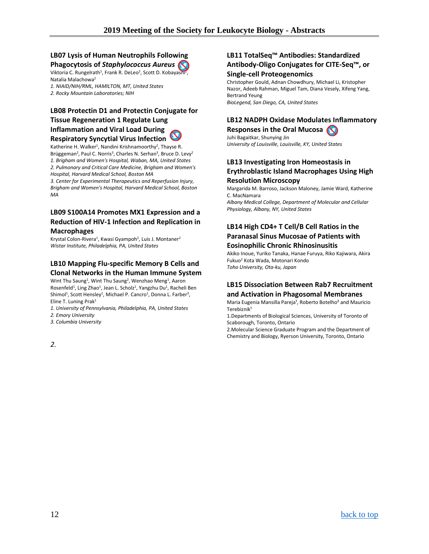### **LB07 Lysis of Human Neutrophils Following Phagocytosis of** *Staphylococcus Aureus*

Viktoria C. Rungelrath<sup>1</sup>, Frank R. DeLeo<sup>2</sup>, Scott D. Kobayashi<sup>2</sup>, Natalia Malachowa2

*1. NIAID/NIH/RML, HAMILTON, MT, United States 2. Rocky Mountain Laboratories; NIH*

### **LB08 Protectin D1 and Protectin Conjugate for**

### **Tissue Regeneration 1 Regulate Lung Inflammation and Viral Load During Respiratory Syncytial Virus Infection**

Katherine H. Walker<sup>1</sup>, Nandini Krishnamoorthy<sup>2</sup>, Thayse R. Brüggeman<sup>2</sup>, Paul C. Norris<sup>3</sup>, Charles N. Serhan<sup>3</sup>, Bruce D. Levy<sup>2</sup> *1. Brigham and Women's Hospital, Waban, MA, United States 2. Pulmonary and Critical Care Medicine, Brigham and Women's Hospital, Harvard Medical School, Boston MA*

*3. Center for Experimental Therapeutics and Reperfusion Injury, Brigham and Women's Hospital, Harvard Medical School, Boston MA*

### **LB09 S100A14 Promotes MX1 Expression and a Reduction of HIV-1 Infection and Replication in Macrophages**

Krystal Colon-Rivera<sup>1</sup>, Kwasi Gyampoh<sup>2</sup>, Luis J. Montaner<sup>2</sup> *Wistar Institute, Philadelphia, PA, United States*

### **LB10 Mapping Flu-specific Memory B Cells and Clonal Networks in the Human Immune System**

Wint Thu Saung<sup>1</sup>, Wint Thu Saung<sup>2</sup>, Wenzhao Meng<sup>1</sup>, Aaron Rosenfeld<sup>1</sup>, Ling Zhao<sup>1</sup>, Jean L. Scholz<sup>1</sup>, Yangzhu Du<sup>1</sup>, Racheli Ben Shimol<sup>1</sup>, Scott Hensley<sup>1</sup>, Michael P. Cancro<sup>1</sup>, Donna L. Farber<sup>3</sup>, Eline T. Luning Prak<sup>1</sup>

*1. University of Pennsylvania, Philadelphia, PA, United States*

*2. Emory University*

*3. Columbia University*

### **LB11 TotalSeq™ Antibodies: Standardized Antibody-Oligo Conjugates for CITE-Seq™, or Single-cell Proteogenomics**

Christopher Gould, Adnan Chowdhury, Michael Li, Kristopher Nazor, Adeeb Rahman, Miguel Tam, Diana Vesely, Xifeng Yang, Bertrand Yeung *BioLegend, San Diego, CA, United States*

### **LB12 NADPH Oxidase Modulates Inflammatory Responses in the Oral Mucosa**

Juhi Bagaitkar, Shunying Jin *University of Louisville, Louisville, KY, United States*

### **LB13 Investigating Iron Homeostasis in Erythroblastic Island Macrophages Using High Resolution Microscopy**

Margarida M. Barroso, Jackson Maloney, Jamie Ward, Katherine C. MacNamara

*Albany Medical College, Department of Molecular and Cellular Physiology, Albany, NY, United States*

### **LB14 High CD4+ T Cell/B Cell Ratios in the Paranasal Sinus Mucosae of Patients with Eosinophilic Chronic Rhinosinusitis**

Akiko Inoue, Yuriko Tanaka, Hanae Furuya, Riko Kajiwara, Akira Fukuo2 Kota Wada, Motonari Kondo *Toho University, Ota-ku, Japan*

### **LB15 Dissociation Between Rab7 Recruitment and Activation in Phagosomal Membranes**

Maria Eugenia Mansilla Pareja<sup>1</sup>, Roberto Botelho<sup>2</sup> and Mauricio Terebiznik<sup>1</sup>

1.Departments of Biological Sciences, University of Toronto of Scaborough, Toronto, Ontario

2.Molecular Science Graduate Program and the Department of Chemistry and Biology, Ryerson University, Toronto, Ontario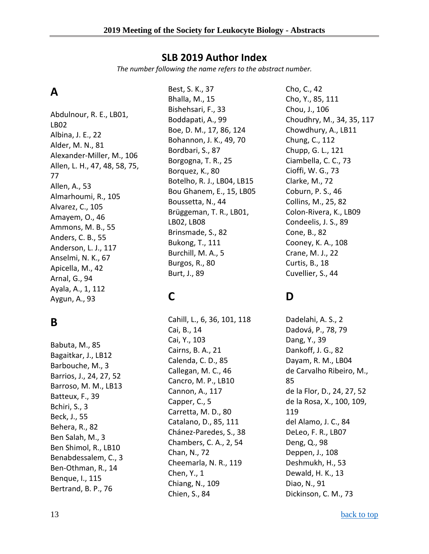### **SLB 2019 Author Index**

*The number following the name refers to the abstract number.*

## <span id="page-12-0"></span>**A**

Abdulnour, R. E., LB01, LB02 Albina, J. E., 22 Alder, M. N., 81 Alexander-Miller, M., 106 Allen, L. H., 47, 48, 58, 75, 77 Allen, A., 53 Almarhoumi, R., 105 Alvarez, C., 105 Amayem, O., 46 Ammons, M. B., 55 Anders, C. B., 55 Anderson, L. J., 117 Anselmi, N. K., 67 Apicella, M., 42 Arnal, G., 94 Ayala, A., 1, 112 Aygun, A., 93

## **B**

Babuta, M., 85 Bagaitkar, J., LB12 Barbouche, M., 3 Barrios, J., 24, 27, 52 Barroso, M. M., LB13 Batteux, F., 39 Bchiri, S., 3 Beck, J., 55 Behera, R., 82 Ben Salah, M., 3 Ben Shimol, R., LB10 Benabdessalem, C., 3 Ben-Othman, R., 14 Benque, I., 115 Bertrand, B. P., 76

Best, S. K., 37 Bhalla, M., 15 Bishehsari, F., 33 Boddapati, A., 99 Boe, D. M., 17, 86, 124 Bohannon, J. K., 49, 70 Bordbari, S., 87 Borgogna, T. R., 25 Borquez, K., 80 Botelho, R. J., LB04, LB15 Bou Ghanem, E., 15, LB05 Boussetta, N., 44 Brüggeman, T. R., LB01, LB02, LB08 Brinsmade, S., 82 Bukong, T., 111 Burchill, M. A., 5 Burgos, R., 80 Burt, J., 89

## **C**

Cahill, L., 6, 36, 101, 118 Cai, B., 14 Cai, Y., 103 Cairns, B. A., 21 Calenda, C. D., 85 Callegan, M. C., 46 Cancro, M. P., LB10 Cannon, A., 117 Capper, C., 5 Carretta, M. D., 80 Catalano, D., 85, 111 Chánez-Paredes, S., 38 Chambers, C. A., 2, 54 Chan, N., 72 Cheemarla, N. R., 119 Chen, Y., 1 Chiang, N., 109 Chien, S., 84

Cho, C., 42 Cho, Y., 85, 111 Chou, J., 106 Choudhry, M., 34, 35, 117 Chowdhury, A., LB11 Chung, C., 112 Chupp, G. L., 121 Ciambella, C. C., 73 Cioffi, W. G., 73 Clarke, M., 72 Coburn, P. S., 46 Collins, M., 25, 82 Colon-Rivera, K., LB09 Condeelis, J. S., 89 Cone, B., 82 Cooney, K. A., 108 Crane, M. J., 22 Curtis, B., 18 Cuvellier, S., 44

## **D**

Dadelahi, A. S., 2 Dadová, P., 78, 79 Dang, Y., 39 Dankoff, J. G., 82 Dayam, R. M., LB04 de Carvalho Ribeiro, M., 85 de la Flor, D., 24, 27, 52 de la Rosa, X., 100, 109, 119 del Alamo, J. C., 84 DeLeo, F. R., LB07 Deng, Q., 98 Deppen, J., 108 Deshmukh, H., 53 Dewald, H. K., 13 Diao, N., 91 Dickinson, C. M., 73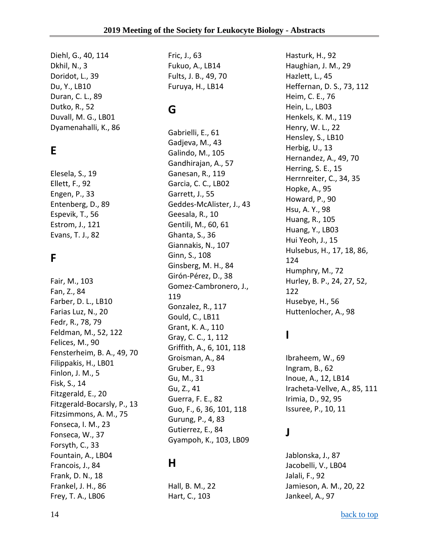Diehl, G., 40, 114 Dkhil, N., 3 Doridot, L., 39 Du, Y., LB10 Duran, C. L., 89 Dutko, R., 52 Duvall, M. G., LB01 Dyamenahalli, K., 86

## **E**

Elesela, S., 19 Ellett, F., 92 Engen, P., 33 Entenberg, D., 89 Espevik, T., 56 Estrom, J., 121 Evans, T. J., 82

## **F**

Fair, M., 103 Fan, Z., 84 Farber, D. L., LB10 Farias Luz, N., 20 Fedr, R., 78, 79 Feldman, M., 52, 122 Felices, M., 90 Fensterheim, B. A., 49, 70 Filippakis, H., LB01 Finlon, J. M., 5 Fisk, S., 14 Fitzgerald, E., 20 Fitzgerald-Bocarsly, P., 13 Fitzsimmons, A. M., 75 Fonseca, I. M., 23 Fonseca, W., 37 Forsyth, C., 33 Fountain, A., LB04 Francois, J., 84 Frank, D. N., 18 Frankel, J. H., 86 Frey, T. A., LB06

Fric, J., 63 Fukuo, A., LB14 Fults, J. B., 49, 70 Furuya, H., LB14

## **G**

Gabrielli, E., 61 Gadjeva, M., 43 Galindo, M., 105 Gandhirajan, A., 57 Ganesan, R., 119 Garcia, C. C., LB02 Garrett, J., 55 Geddes-McAlister, J., 43 Geesala, R., 10 Gentili, M., 60, 61 Ghanta, S., 36 Giannakis, N., 107 Ginn, S., 108 Ginsberg, M. H., 84 Girón-Pérez, D., 38 Gomez-Cambronero, J., 119 Gonzalez, R., 117 Gould, C., LB11 Grant, K. A., 110 Gray, C. C., 1, 112 Griffith, A., 6, 101, 118 Groisman, A., 84 Gruber, E., 93 Gu, M., 31 Gu, Z., 41 Guerra, F. E., 82 Guo, F., 6, 36, 101, 118 Gurung, P., 4, 83 Gutierrez, E., 84 Gyampoh, K., 103, LB09

## **H**

Hall, B. M., 22 Hart, C., 103

Hasturk, H., 92 Haughian, J. M., 29 Hazlett, L., 45 Heffernan, D. S., 73, 112 Heim, C. E., 76 Hein, L., LB03 Henkels, K. M., 119 Henry, W. L., 22 Hensley, S., LB10 Herbig, U., 13 Hernandez, A., 49, 70 Herring, S. E., 15 Herrnreiter, C., 34, 35 Hopke, A., 95 Howard, P., 90 Hsu, A. Y., 98 Huang, R., 105 Huang, Y., LB03 Hui Yeoh, J., 15 Hulsebus, H., 17, 18, 86, 124 Humphry, M., 72 Hurley, B. P., 24, 27, 52, 122 Husebye, H., 56 Huttenlocher, A., 98

## **I**

Ibraheem, W., 69 Ingram, B., 62 Inoue, A., 12, LB14 Iracheta-Vellve, A., 85, 111 Irimia, D., 92, 95 Issuree, P., 10, 11

## **J**

Jablonska, J., 87 Jacobelli, V., LB04 Jalali, F., 92 Jamieson, A. M., 20, 22 Jankeel, A., 97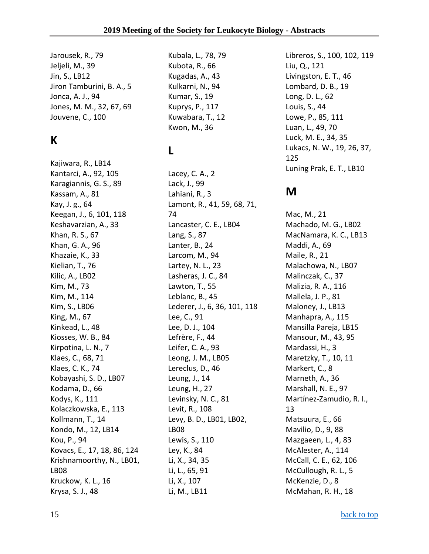Jarousek, R., 79 Jeljeli, M., 39 Jin, S., LB12 Jiron Tamburini, B. A., 5 Jonca, A. J., 94 Jones, M. M., 32, 67, 69 Jouvene, C., 100

## **K**

Kajiwara, R., LB14 Kantarci, A., 92, 105 Karagiannis, G. S., 89 Kassam, A., 81 Kay, J. g., 64 Keegan, J., 6, 101, 118 Keshavarzian, A., 33 Khan, R. S., 67 Khan, G. A., 96 Khazaie, K., 33 Kielian, T., 76 Kilic, A., LB02 Kim, M., 73 Kim, M., 114 Kim, S., LB06 King, M., 67 Kinkead, L., 48 Kiosses, W. B., 84 Kirpotina, L. N., 7 Klaes, C., 68, 71 Klaes, C. K., 74 Kobayashi, S. D., LB07 Kodama, D., 66 Kodys, K., 111 Kolaczkowska, E., 113 Kollmann, T., 14 Kondo, M., 12, LB14 Kou, P., 94 Kovacs, E., 17, 18, 86, 124 Krishnamoorthy, N., LB01, LB08 Kruckow, K. L., 16 Krysa, S. J., 48

Kubala, L., 78, 79 Kubota, R., 66 Kugadas, A., 43 Kulkarni, N., 94 Kumar, S., 19 Kuprys, P., 117 Kuwabara, T., 12 Kwon, M., 36

## **L**

Lacey, C. A., 2 Lack, J., 99 Lahiani, R., 3 Lamont, R., 41, 59, 68, 71, 74 Lancaster, C. E., LB04 Lang, S., 87 Lanter, B., 24 Larcom, M., 94 Lartey, N. L., 23 Lasheras, J. C., 84 Lawton, T., 55 Leblanc, B., 45 Lederer, J., 6, 36, 101, 118 Lee, C., 91 Lee, D. J., 104 Lefrère, F., 44 Leifer, C. A., 93 Leong, J. M., LB05 Lereclus, D., 46 Leung, J., 14 Leung, H., 27 Levinsky, N. C., 81 Levit, R., 108 Levy, B. D., LB01, LB02, LB08 Lewis, S., 110 Ley, K., 84 Li, X., 34, 35 Li, L., 65, 91 Li, X., 107 Li, M., LB11

Libreros, S., 100, 102, 119 Liu, Q., 121 Livingston, E. T., 46 Lombard, D. B., 19 Long, D. L., 62 Louis, S., 44 Lowe, P., 85, 111 Luan, L., 49, 70 Luck, M. E., 34, 35 Lukacs, N. W., 19, 26, 37, 125 Luning Prak, E. T., LB10

## **M**

Mac, M., 21 Machado, M. G., LB02 MacNamara, K. C., LB13 Maddi, A., 69 Maile, R., 21 Malachowa, N., LB07 Malinczak, C., 37 Malizia, R. A., 116 Mallela, J. P., 81 Maloney, J., LB13 Manhapra, A., 115 Mansilla Pareja, LB15 Mansour, M., 43, 95 Mardassi, H., 3 Maretzky, T., 10, 11 Markert, C., 8 Marneth, A., 36 Marshall, N. E., 97 Martínez-Zamudio, R. I., 13 Matsuura, E., 66 Mavilio, D., 9, 88 Mazgaeen, L., 4, 83 McAlester, A., 114 McCall, C. E., 62, 106 McCullough, R. L., 5 McKenzie, D., 8 McMahan, R. H., 18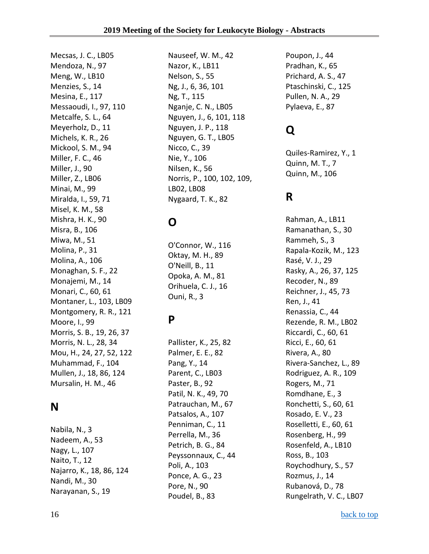Mecsas, J. C., LB05 Mendoza, N., 97 Meng, W., LB10 Menzies, S., 14 Mesina, E., 117 Messaoudi, I., 97, 110 Metcalfe, S. L., 64 Meyerholz, D., 11 Michels, K. R., 26 Mickool, S. M., 94 Miller, F. C., 46 Miller, J., 90 Miller, Z., LB06 Minai, M., 99 Miralda, I., 59, 71 Misel, K. M., 58 Mishra, H. K., 90 Misra, B., 106 Miwa, M., 51 Molina, P., 31 Molina, A., 106 Monaghan, S. F., 22 Monajemi, M., 14 Monari, C., 60, 61 Montaner, L., 103, LB09 Montgomery, R. R., 121 Moore, I., 99 Morris, S. B., 19, 26, 37 Morris, N. L., 28, 34 Mou, H., 24, 27, 52, 122 Muhammad, F., 104 Mullen, J., 18, 86, 124 Mursalin, H. M., 46

## **N**

Nabila, N., 3 Nadeem, A., 53 Nagy, L., 107 Naito, T., 12 Najarro, K., 18, 86, 124 Nandi, M., 30 Narayanan, S., 19

Nauseef, W. M., 42 Nazor, K., LB11 Nelson, S., 55 Ng, J., 6, 36, 101 Ng, T., 115 Nganje, C. N., LB05 Nguyen, J., 6, 101, 118 Nguyen, J. P., 118 Nguyen, G. T., LB05 Nicco, C., 39 Nie, Y., 106 Nilsen, K., 56 Norris, P., 100, 102, 109, LB02, LB08 Nygaard, T. K., 82

## **O**

O'Connor, W., 116 Oktay, M. H., 89 O'Neill, B., 11 Opoka, A. M., 81 Orihuela, C. J., 16 Ouni, R., 3

## **P**

Pallister, K., 25, 82 Palmer, E. E., 82 Pang, Y., 14 Parent, C., LB03 Paster, B., 92 Patil, N. K., 49, 70 Patrauchan, M., 67 Patsalos, A., 107 Penniman, C., 11 Perrella, M., 36 Petrich, B. G., 84 Peyssonnaux, C., 44 Poli, A., 103 Ponce, A. G., 23 Pore, N., 90 Poudel, B., 83

Poupon, J., 44 Pradhan, K., 65 Prichard, A. S., 47 Ptaschinski, C., 125 Pullen, N. A., 29 Pylaeva, E., 87

## **Q**

Quiles-Ramirez, Y., 1 Quinn, M. T., 7 Quinn, M., 106

## **R**

Rahman, A., LB11 Ramanathan, S., 30 Rammeh, S., 3 Rapala-Kozik, M., 123 Rasé, V. J., 29 Rasky, A., 26, 37, 125 Recoder, N., 89 Reichner, J., 45, 73 Ren, J., 41 Renassia, C., 44 Rezende, R. M., LB02 Riccardi, C., 60, 61 Ricci, E., 60, 61 Rivera, A., 80 Rivera-Sanchez, L., 89 Rodriguez, A. R., 109 Rogers, M., 71 Romdhane, E., 3 Ronchetti, S., 60, 61 Rosado, E. V., 23 Roselletti, E., 60, 61 Rosenberg, H., 99 Rosenfeld, A., LB10 Ross, B., 103 Roychodhury, S., 57 Rozmus, J., 14 Rubanová, D., 78 Rungelrath, V. C., LB07

16 [back to top](#page-0-0) back to top back to top back to top back to top back to top back to top back to top back to top back to top back to top back to top back to top back to top back to top back to top back to top back to top bac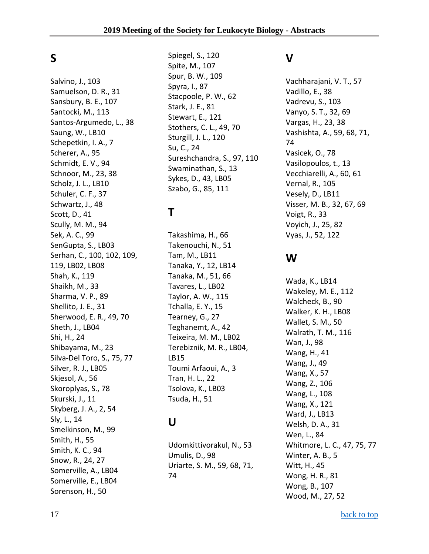## **S**

Salvino, J., 103 Samuelson, D. R., 31 Sansbury, B. E., 107 Santocki, M., 113 Santos-Argumedo, L., 38 Saung, W., LB10 Schepetkin, I. A., 7 Scherer, A., 95 Schmidt, E. V., 94 Schnoor, M., 23, 38 Scholz, J. L., LB10 Schuler, C. F., 37 Schwartz, J., 48 Scott, D., 41 Scully, M. M., 94 Sek, A. C., 99 SenGupta, S., LB03 Serhan, C., 100, 102, 109, 119, LB02, LB08 Shah, K., 119 Shaikh, M., 33 Sharma, V. P., 89 Shellito, J. E., 31 Sherwood, E. R., 49, 70 Sheth, J., LB04 Shi, H., 24 Shibayama, M., 23 Silva-Del Toro, S., 75, 77 Silver, R. J., LB05 Skjesol, A., 56 Skoroplyas, S., 78 Skurski, J., 11 Skyberg, J. A., 2, 54 Sly, L., 14 Smelkinson, M., 99 Smith, H., 55 Smith, K. C., 94 Snow, R., 24, 27 Somerville, A., LB04 Somerville, E., LB04 Sorenson, H., 50

Spiegel, S., 120 Spite, M., 107 Spur, B. W., 109 Spyra, I., 87 Stacpoole, P. W., 62 Stark, J. E., 81 Stewart, E., 121 Stothers, C. L., 49, 70 Sturgill, J. L., 120 Su, C., 24 Sureshchandra, S., 97, 110 Swaminathan, S., 13 Sykes, D., 43, LB05 Szabo, G., 85, 111

## **T**

Takashima, H., 66 Takenouchi, N., 51 Tam, M., LB11 Tanaka, Y., 12, LB14 Tanaka, M., 51, 66 Tavares, L., LB02 Taylor, A. W., 115 Tchalla, E. Y., 15 Tearney, G., 27 Teghanemt, A., 42 Teixeira, M. M., LB02 Terebiznik, M. R., LB04, LB15 Toumi Arfaoui, A., 3 Tran, H. L., 22 Tsolova, K., LB03 Tsuda, H., 51

## **U**

Udomkittivorakul, N., 53 Umulis, D., 98 Uriarte, S. M., 59, 68, 71, 74

## **V**

Vachharajani, V. T., 57 Vadillo, E., 38 Vadrevu, S., 103 Vanyo, S. T., 32, 69 Vargas, H., 23, 38 Vashishta, A., 59, 68, 71, 74 Vasicek, O., 78 Vasilopoulos, t., 13 Vecchiarelli, A., 60, 61 Vernal, R., 105 Vesely, D., LB11 Visser, M. B., 32, 67, 69 Voigt, R., 33 Voyich, J., 25, 82 Vyas, J., 52, 122

## **W**

Wada, K., LB14 Wakeley, M. E., 112 Walcheck, B., 90 Walker, K. H., LB08 Wallet, S. M., 50 Walrath, T. M., 116 Wan, J., 98 Wang, H., 41 Wang, J., 49 Wang, X., 57 Wang, Z., 106 Wang, L., 108 Wang, X., 121 Ward, J., LB13 Welsh, D. A., 31 Wen, L., 84 Whitmore, L. C., 47, 75, 77 Winter, A. B., 5 Witt, H., 45 Wong, H. R., 81 Wong, B., 107 Wood, M., 27, 52